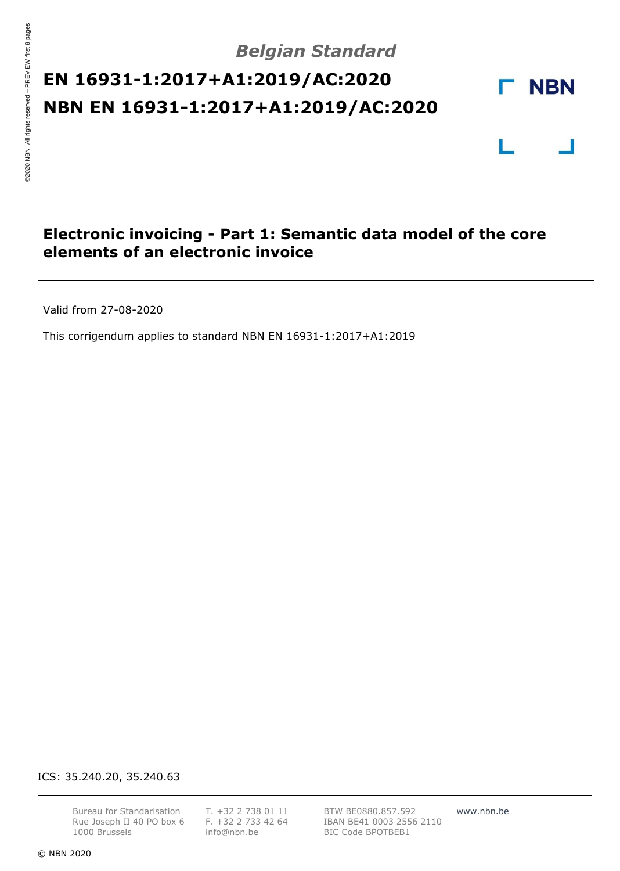#### **EN 16931-1:2017+A1:2019/AC:2020 NBN NBN EN 16931-1:2017+A1:2019/AC:2020**

#### **Electronic invoicing - Part 1: Semantic data model of the core elements of an electronic invoice**

Valid from 27-08-2020

This corrigendum applies to standard NBN EN 16931-1:2017+A1:2019

ICS: 35.240.20, 35.240.63

Bureau for Standarisation Rue Joseph II 40 PO box 6 1000 Brussels

T. +32 2 738 01 11 F. +32 2 733 42 64 [info@nbn.be](mailto:info@nbn.be)

BTW BE0880.857.592 IBAN BE41 0003 2556 2110 BIC Code BPOTBEB1

www.nbn.be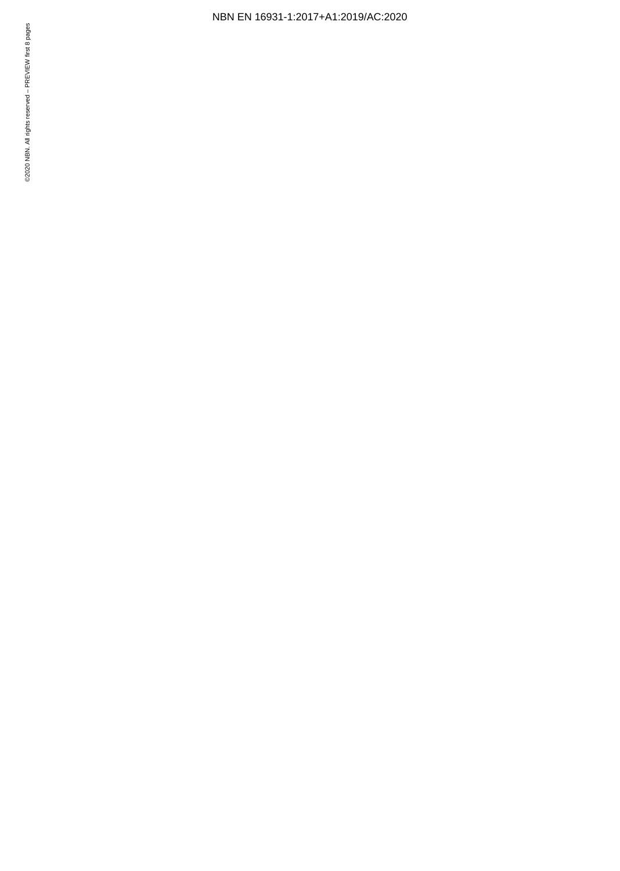NBN EN 16931-1:2017+A1:2019/AC:2020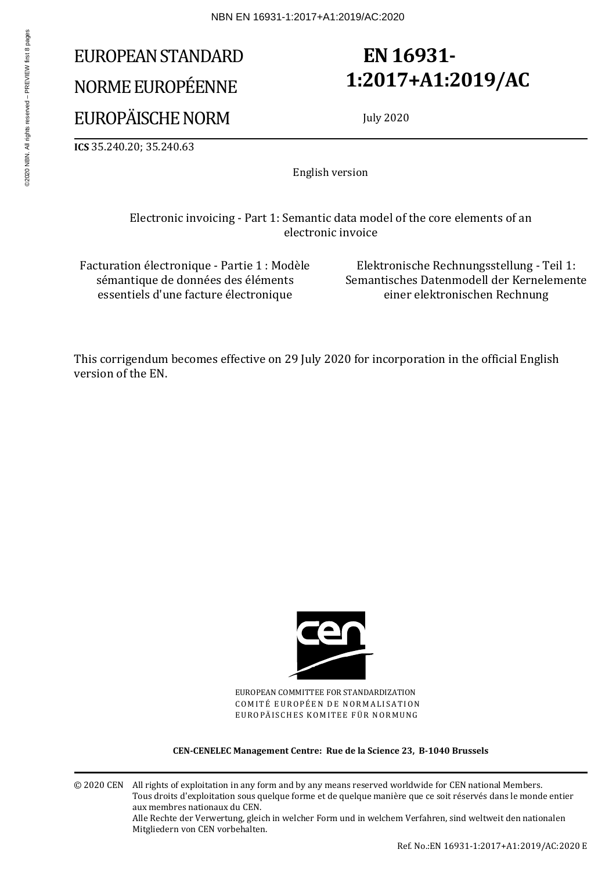## EUROPEAN STANDARD NORME EUROPÉENNE EUROPÄISCHE NORM

### **EN 16931- 1:2017+A1:2019/AC**

July 2020

**ICS** 35.240.20; 35.240.63

English version

Electronic invoicing - Part 1: Semantic data model of the core elements of an electronic invoice

Facturation électronique - Partie 1 : Modèle sémantique de données des éléments essentiels d'une facture électronique

Elektronische Rechnungsstellung - Teil 1: Semantisches Datenmodell der Kernelemente einer elektronischen Rechnung

This corrigendum becomes effective on 29 July 2020 for incorporation in the official English version of the EN.



EUROPEAN COMMITTEE FOR STANDARDIZATION COMITÉ EUROPÉEN DE NORMALISATION EUROPÄISCHES KOMITEE FÜR NORMUNG

#### **CEN-CENELEC Management Centre: Rue de la Science 23, B-1040 Brussels**

© 2020 CEN All rights of exploitation in any form and by any means reserved worldwide for CEN national Members. Tous droits d'exploitation sous quelque forme et de quelque manière que ce soit réservés dans le monde entier aux membres nationaux du CEN. Alle Rechte der Verwertung, gleich in welcher Form und in welchem Verfahren, sind weltweit den nationalen Mitgliedern von CEN vorbehalten.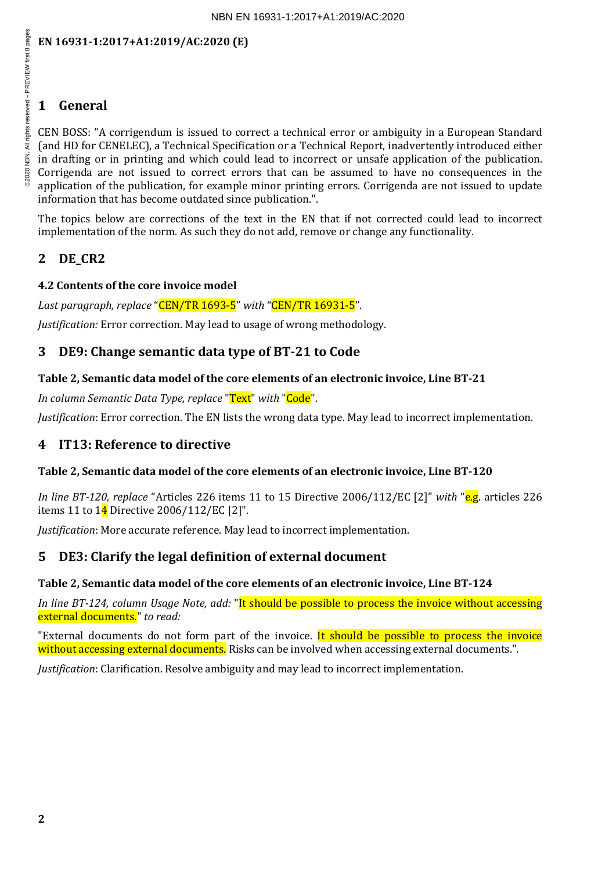#### **EN 16931-1:2017+A1:2019/AC:2020 (E)**

# ©2020 NBN. All rights reserved – PREVIEW first 8 pagesAll rights reserved - PREVIEW first 8 pages

#### **1 General**

CEN BOSS: "A corrigendum is issued to correct a technical error or ambiguity in a European Standard (and HD for CENELEC), a Technical Specification or a Technical Report, inadvertently introduced either in drafting or in printing and which could lead to incorrect or unsafe application of the publication. Corrigenda are not issued to correct errors that can be assumed to have no consequences in the application of the publication, for example minor printing errors. Corrigenda are not issued to update information that has become outdated since publication.".

The topics below are corrections of the text in the EN that if not corrected could lead to incorrect implementation of the norm. As such they do not add, remove or change any functionality.

#### **2 DE\_CR2**

#### **4.2 Contents of the core invoice model**

*Last paragraph, replace* "CEN/TR 1693-5" *with* "CEN/TR 16931-5".

*Justification:* Error correction. May lead to usage of wrong methodology.

#### **3 DE9: Change semantic data type of BT-21 to Code**

#### **Table 2, Semantic data model of the core elements of an electronic invoice, Line BT-21**

*In column Semantic Data Type, replace* "Text" *with* "Code".

*Justification*: Error correction. The EN lists the wrong data type. May lead to incorrect implementation.

#### **4 IT13: Reference to directive**

#### **Table 2, Semantic data model of the core elements of an electronic invoice, Line BT-120**

*In line BT-120, replace* "Articles 226 items 11 to 15 Directive 2006/112/EC [2]" *with* "e.g. articles 226 items 11 to  $14$  Directive 2006/112/EC [2]".

*Justification*: More accurate reference. May lead to incorrect implementation.

#### **5 DE3: Clarify the legal definition of external document**

#### **Table 2, Semantic data model of the core elements of an electronic invoice, Line BT-124**

*In line BT-124, column Usage Note, add:* "It should be possible to process the invoice without accessing external documents." *to read:*

"External documents do not form part of the invoice. It should be possible to process the invoice without accessing external documents. Risks can be involved when accessing external documents.".

*Justification*: Clarification. Resolve ambiguity and may lead to incorrect implementation.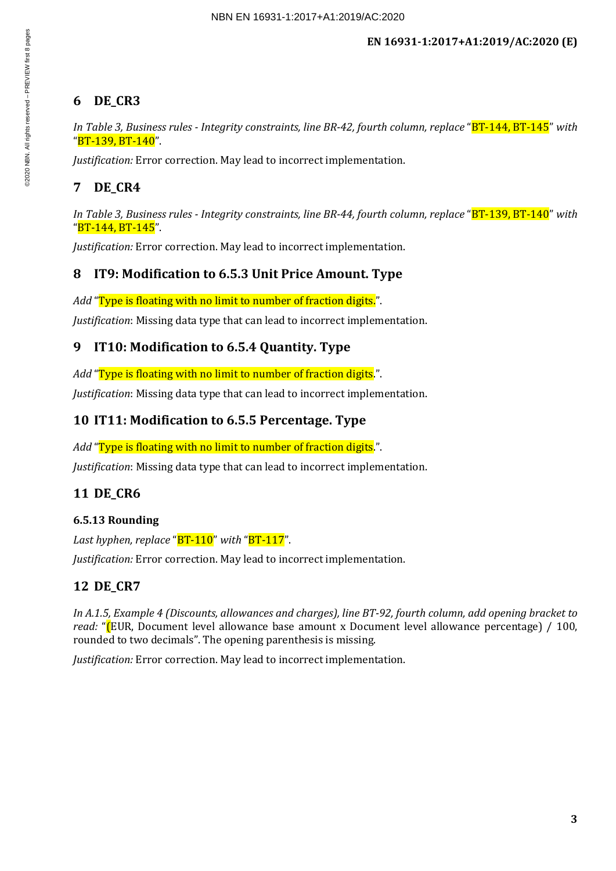#### **6 DE\_CR3**

*In Table 3, Business rules - Integrity constraints, line BR-42, fourth column, replace* "BT-144, BT-145" *with* "BT-139, BT-140".

*Justification:* Error correction. May lead to incorrect implementation.

#### **7 DE\_CR4**

*In Table 3, Business rules - Integrity constraints, line BR-44, fourth column, replace* "BT-139, BT-140" *with* "BT-144, BT-145".

*Justification:* Error correction. May lead to incorrect implementation.

#### **8 IT9: Modification to 6.5.3 Unit Price Amount. Type**

*Add* "Type is floating with no limit to number of fraction digits.".

*Justification*: Missing data type that can lead to incorrect implementation.

#### **9 IT10: Modification to 6.5.4 Quantity. Type**

Add "Type is floating with no limit to number of fraction digits.".

*Justification*: Missing data type that can lead to incorrect implementation.

#### **10 IT11: Modification to 6.5.5 Percentage. Type**

Add "Type is floating with no limit to number of fraction digits.".

*Justification*: Missing data type that can lead to incorrect implementation.

#### **11 DE\_CR6**

#### **6.5.13 Rounding**

*Last hyphen, replace* "BT-110" *with* "BT-117".

*Justification:* Error correction. May lead to incorrect implementation.

#### **12 DE\_CR7**

*In A.1.5, Example 4 (Discounts, allowances and charges), line BT-92, fourth column, add opening bracket to read:* "(EUR, Document level allowance base amount x Document level allowance percentage) / 100, rounded to two decimals". The opening parenthesis is missing.

*Justification:* Error correction. May lead to incorrect implementation.